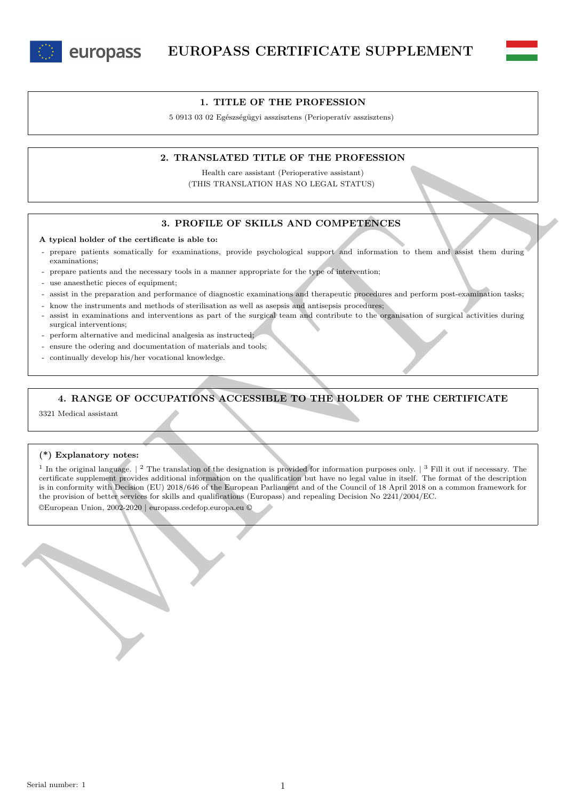



5 0913 03 02 Egészségügyi asszisztens (Perioperatív asszisztens)

## **2. TRANSLATED TITLE OF THE PROFESSION**

Health care assistant (Perioperative assistant) (THIS TRANSLATION HAS NO LEGAL STATUS)

### **3. PROFILE OF SKILLS AND COMPETENCES**

### **A typical holder of the certificate is able to:**

- prepare patients somatically for examinations, provide psychological support and information to them and assist them during examinations;
- prepare patients and the necessary tools in a manner appropriate for the type of intervention;
- use anaesthetic pieces of equipment;
- assist in the preparation and performance of diagnostic examinations and therapeutic procedures and perform post-examination tasks;
- know the instruments and methods of sterilisation as well as asepsis and antisepsis procedures;
- assist in examinations and interventions as part of the surgical team and contribute to the organisation of surgical activities during surgical interventions;
- perform alternative and medicinal analgesia as instructed;
- ensure the odering and documentation of materials and tools;
- continually develop his/her vocational knowledge.

## **4. RANGE OF OCCUPATIONS ACCESSIBLE TO THE HOLDER OF THE CERTIFICATE**

3321 Medical assistant

### **(\*) Explanatory notes:**

2. TRANSLATED TITLE OF THE PROFESSION<br>
THE TRANSLATED TITLE OF THE PROFESSION<br>
(THE TRANSLATED TITLE OF THE PROFESSION<br>
(THE TRANSLATED TITLE OF THE PROFESSION<br>
2. PROFESSION AND COMPREHENCES<br>
A typical holder of the cent <sup>1</sup> In the original language.  $\vert$  <sup>2</sup> The translation of the designation is provided for information purposes only.  $\vert$  <sup>3</sup> Fill it out if necessary. The certificate supplement provides additional information on the qualification but have no legal value in itself. The format of the description is in conformity with Decision (EU) 2018/646 of the European Parliament and of the Council of 18 April 2018 on a common framework for the provision of better services for skills and qualifications (Europass) and repealing Decision No 2241/2004/EC. ©European Union, 2002-2020 | europass.cedefop.europa.eu ©

Serial number: 1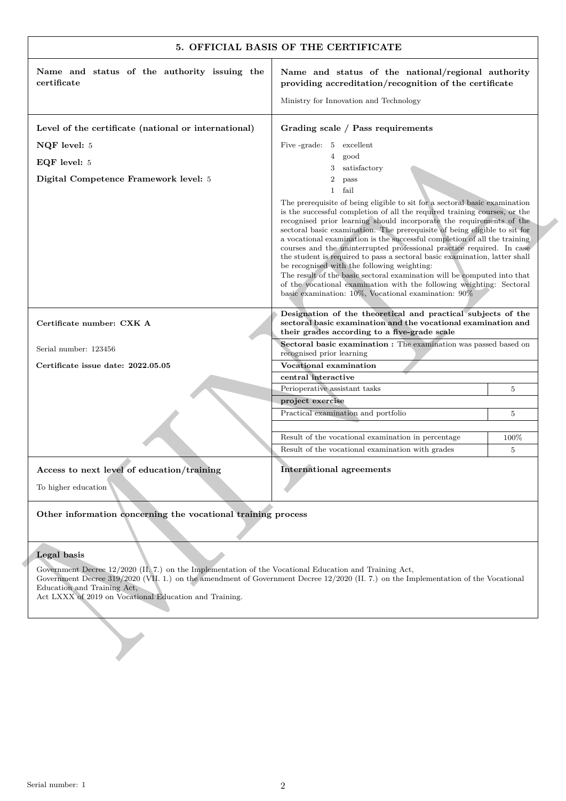|                                                                                                                                                                                                                                                                                                                                        | 5. OFFICIAL BASIS OF THE CERTIFICATE                                                                                                                                                                                                                                                                                                                                                                                                                                                                                                                                                                                                                                                                                                                                                                             |      |  |  |  |  |
|----------------------------------------------------------------------------------------------------------------------------------------------------------------------------------------------------------------------------------------------------------------------------------------------------------------------------------------|------------------------------------------------------------------------------------------------------------------------------------------------------------------------------------------------------------------------------------------------------------------------------------------------------------------------------------------------------------------------------------------------------------------------------------------------------------------------------------------------------------------------------------------------------------------------------------------------------------------------------------------------------------------------------------------------------------------------------------------------------------------------------------------------------------------|------|--|--|--|--|
| Name and status of the authority issuing the<br>certificate                                                                                                                                                                                                                                                                            | Name and status of the national/regional authority<br>providing accreditation/recognition of the certificate                                                                                                                                                                                                                                                                                                                                                                                                                                                                                                                                                                                                                                                                                                     |      |  |  |  |  |
|                                                                                                                                                                                                                                                                                                                                        | Ministry for Innovation and Technology                                                                                                                                                                                                                                                                                                                                                                                                                                                                                                                                                                                                                                                                                                                                                                           |      |  |  |  |  |
| Level of the certificate (national or international)                                                                                                                                                                                                                                                                                   | Grading scale / Pass requirements                                                                                                                                                                                                                                                                                                                                                                                                                                                                                                                                                                                                                                                                                                                                                                                |      |  |  |  |  |
| NQF level: 5                                                                                                                                                                                                                                                                                                                           | Five -grade: 5 excellent                                                                                                                                                                                                                                                                                                                                                                                                                                                                                                                                                                                                                                                                                                                                                                                         |      |  |  |  |  |
| EQF level: 5                                                                                                                                                                                                                                                                                                                           | 4 good                                                                                                                                                                                                                                                                                                                                                                                                                                                                                                                                                                                                                                                                                                                                                                                                           |      |  |  |  |  |
| Digital Competence Framework level: 5                                                                                                                                                                                                                                                                                                  | satisfactory<br>3<br>$\overline{2}$<br>pass                                                                                                                                                                                                                                                                                                                                                                                                                                                                                                                                                                                                                                                                                                                                                                      |      |  |  |  |  |
|                                                                                                                                                                                                                                                                                                                                        | $\mathbf{1}$<br>fail                                                                                                                                                                                                                                                                                                                                                                                                                                                                                                                                                                                                                                                                                                                                                                                             |      |  |  |  |  |
|                                                                                                                                                                                                                                                                                                                                        | The prerequisite of being eligible to sit for a sectoral basic examination<br>is the successful completion of all the required training courses, or the<br>recognised prior learning should incorporate the requirements of the<br>sectoral basic examination. The prerequisite of being eligible to sit for<br>a vocational examination is the successful completion of all the training<br>courses and the uninterrupted professional practice required. In case<br>the student is required to pass a sectoral basic examination, latter shall<br>be recognised with the following weighting:<br>The result of the basic sectoral examination will be computed into that<br>of the vocational examination with the following weighting: Sectoral<br>basic examination: $10\%$ , Vocational examination: $90\%$ |      |  |  |  |  |
| Certificate number: CXK A                                                                                                                                                                                                                                                                                                              | Designation of the theoretical and practical subjects of the<br>sectoral basic examination and the vocational examination and<br>their grades according to a five-grade scale                                                                                                                                                                                                                                                                                                                                                                                                                                                                                                                                                                                                                                    |      |  |  |  |  |
| Serial number: 123456                                                                                                                                                                                                                                                                                                                  | Sectoral basic examination : The examination was passed based on<br>recognised prior learning                                                                                                                                                                                                                                                                                                                                                                                                                                                                                                                                                                                                                                                                                                                    |      |  |  |  |  |
| Certificate issue date: 2022.05.05                                                                                                                                                                                                                                                                                                     | Vocational examination                                                                                                                                                                                                                                                                                                                                                                                                                                                                                                                                                                                                                                                                                                                                                                                           |      |  |  |  |  |
|                                                                                                                                                                                                                                                                                                                                        | central interactive                                                                                                                                                                                                                                                                                                                                                                                                                                                                                                                                                                                                                                                                                                                                                                                              |      |  |  |  |  |
|                                                                                                                                                                                                                                                                                                                                        | Perioperative assistant tasks                                                                                                                                                                                                                                                                                                                                                                                                                                                                                                                                                                                                                                                                                                                                                                                    | 5    |  |  |  |  |
|                                                                                                                                                                                                                                                                                                                                        | project exercise                                                                                                                                                                                                                                                                                                                                                                                                                                                                                                                                                                                                                                                                                                                                                                                                 |      |  |  |  |  |
|                                                                                                                                                                                                                                                                                                                                        | Practical examination and portfolio                                                                                                                                                                                                                                                                                                                                                                                                                                                                                                                                                                                                                                                                                                                                                                              | 5    |  |  |  |  |
|                                                                                                                                                                                                                                                                                                                                        | Result of the vocational examination in percentage                                                                                                                                                                                                                                                                                                                                                                                                                                                                                                                                                                                                                                                                                                                                                               | 100% |  |  |  |  |
|                                                                                                                                                                                                                                                                                                                                        | Result of the vocational examination with grades                                                                                                                                                                                                                                                                                                                                                                                                                                                                                                                                                                                                                                                                                                                                                                 | 5    |  |  |  |  |
| Access to next level of education/training                                                                                                                                                                                                                                                                                             | <b>International agreements</b>                                                                                                                                                                                                                                                                                                                                                                                                                                                                                                                                                                                                                                                                                                                                                                                  |      |  |  |  |  |
| To higher education                                                                                                                                                                                                                                                                                                                    |                                                                                                                                                                                                                                                                                                                                                                                                                                                                                                                                                                                                                                                                                                                                                                                                                  |      |  |  |  |  |
| Other information concerning the vocational training process                                                                                                                                                                                                                                                                           |                                                                                                                                                                                                                                                                                                                                                                                                                                                                                                                                                                                                                                                                                                                                                                                                                  |      |  |  |  |  |
| Legal basis                                                                                                                                                                                                                                                                                                                            |                                                                                                                                                                                                                                                                                                                                                                                                                                                                                                                                                                                                                                                                                                                                                                                                                  |      |  |  |  |  |
| Government Decree 12/2020 (II. 7.) on the Implementation of the Vocational Education and Training Act,<br>Government Decree 319/2020 (VII. 1.) on the amendment of Government Decree 12/2020 (II. 7.) on the Implementation of the Vocational<br>Education and Training Act,<br>Act LXXX of 2019 on Vocational Education and Training. |                                                                                                                                                                                                                                                                                                                                                                                                                                                                                                                                                                                                                                                                                                                                                                                                                  |      |  |  |  |  |
|                                                                                                                                                                                                                                                                                                                                        |                                                                                                                                                                                                                                                                                                                                                                                                                                                                                                                                                                                                                                                                                                                                                                                                                  |      |  |  |  |  |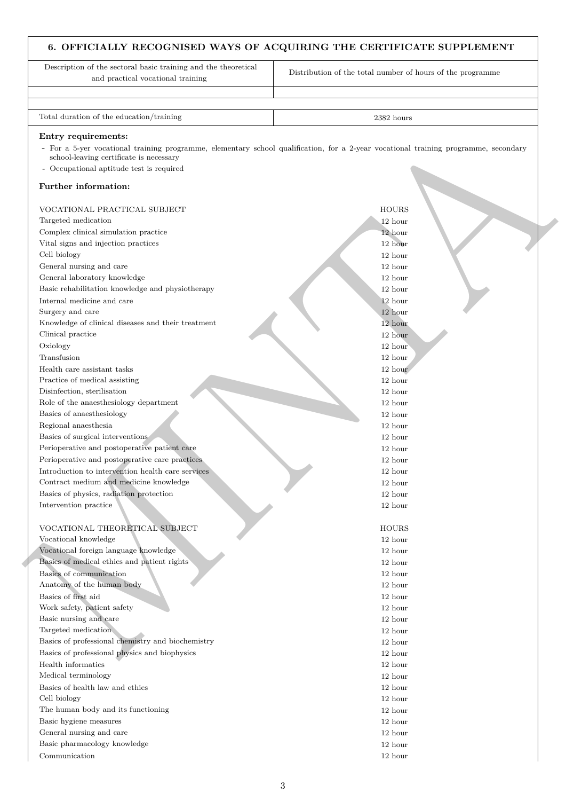# **6. OFFICIALLY RECOGNISED WAYS OF ACQUIRING THE CERTIFICATE SUPPLEMENT**

Endry recent<br>
Comparison (with the same of proposition) and proposition (which ends of a 2-year vector) the<br>
comparison (with the same of proposition) and the same of the same of<br>
Comparison (with the same of the same of Description of the sectoral basic training and the theoretical and practical vocational training Distribution of the total number of hours of the programme Total duration of the education/training 2382 hours 2382 hours 2382 hours **Entry requirements:** - For a 5-yer vocational training programme, elementary school qualification, for a 2-year vocational training programme, secondary school-leaving certificate is necessary - Occupational aptitude test is required **Further information:** VOCATIONAL PRACTICAL SUBJECT HOURS AND LOURS HOURS AND LOURS AND LOURS AND LOURS AND LOURS AND LOURS AND LOURS AND LOURS AND LOURS AND LOURS AND LOURS AND LOURS AND LOURS AND LOURS AND LOURS AND LOURS AND LOURS AND LOURS A Targeted medication 12 hours and 12 hours and 12 hours and 12 hours and 12 hours and 12 hours and 12 hours and 12 hours and 12 hours and 12 hours and 12 hours and 12 hours and 12 hours and 12 hours and 12 hours and 12 hour Complex clinical simulation practice 12 hours and 12 hours and 12 hours and 12 hours and 12 hours and 12 hours and 12 hours and 12 hours and 12 hours and 12 hours and 12 hours and 12 hours and 12 hours and 12 hours and 12 Vital signs and injection practices 12 hours and 12 hours and 12 hours and 12 hours and 12 hours and 12 hours and 12 hours and 12 hours and 12 hours and 12 hours and 12 hours and 12 hours and 12 hours and 12 hours and 12 h Cell biology 12 hour General nursing and care 12 hours and care 12 hours and care 12 hours and care 12 hours and care 12 hours and care 12 hours and care 12 hours and care 12 hours and care 12 hours and care 12 hours and care 12 hours and care General laboratory knowledge 12 hours and 12 hours and 12 hours and 12 hours and 12 hours and 12 hours and 12 hours and 12 hours and 12 hours and 12 hours and 12 hours and 12 hours and 12 hours and 12 hours and 12 hours an Basic rehabilitation knowledge and physiotherapy 12 hours (12 hours in the local contract of the local contract of the local contract of the local contract of the local contract of the local contract of the local contract Internal medicine and care 12 hours and 12 hours and 12 hours and 12 hours and 12 hours and 12 hours and 12 hours and 12 hours and 12 hours and 12 hours and 12 hours and 12 hours and 12 hours and 12 hours and 12 hours and Surgery and care 12 hours and 12 hours and 12 hours and 12 hours and 12 hours and 12 hours and 12 hours and 12 hours and 12 hours and 12 hours and 12 hours and 12 hours and 12 hours and 12 hours and 12 hours and 12 hours a Knowledge of clinical diseases and their treatment 12 hour 12 hour 12 hour Clinical practice 12 hours and 12 hours and 12 hours and 12 hours and 12 hours and 12 hours and 12 hours and 12 hours and 12 hours and 12 hours and 12 hours and 12 hours and 12 hours and 12 hours and 12 hours and 12 hours Oxiology 12 hours and 12 hours and 12 hours and 12 hours and 12 hours and 12 hours and 12 hours and 12 hours and 12 hours and 12 hours and 12 hours and 12 hours and 12 hours and 12 hours and 12 hours and 12 hours and 12 ho Transfusion 12 hours and 12 hours and 12 hours and 12 hours and 12 hours and 12 hours and 12 hours and 12 hours Health care assistant tasks 12 hour Practice of medical assisting 12 hours and 12 hours and 12 hours and 12 hours and 12 hours and 12 hours and 12 hours and 12 hours and 12 hours and 12 hours and 12 hours and 12 hours and 12 hours and 12 hours and 12 hours a Disinfection, sterilisation 12 hour Role of the anaesthesiology department 12 hours and 12 hours and 12 hours and 12 hours and 12 hours and 12 hours and 12 hours and 12 hours and 12 hours and 12 hours and 12 hours and 12 hours and 12 hours and 12 hours and 1 Basics of anaesthesiology 12 hour Regional anaesthesia 12 hour Basics of surgical interventions 12 hours and 12 hours and 12 hours and 12 hours and 12 hours and 12 hours and 12 hours and 12 hours and 12 hours and 12 hours and 12 hours and 12 hours and 12 hours and 12 hours and 12 hour Perioperative and postoperative patient care 12 hours and 12 hours and 12 hours and 12 hours and 12 hours and 12 hours and 12 hours and 12 hours and 12 hours and 12 hours and 12 hours and 12 hours and 12 hours and 12 hours Perioperative and postoperative care practices 12 hours 12 hours 12 hours 12 hours 12 hours 12 hours 12 hours 12 hours 12 hours 12 hours 12 hours 12 hours 12 hours 12 hours 12 hours 12 hours 12 hours 12 hours 12 hours 12 h Introduction to intervention health care services 12 hour Contract medium and medicine knowledge 12 hour Basics of physics, radiation protection 12 hour 12 hour Intervention practice 12 hours and 12 hours and 12 hours and 12 hours and 12 hours and 12 hours and 12 hours and 12 hours and 12 hours and 12 hours and 12 hours and 12 hours and 12 hours and 12 hours and 12 hours and 12 ho VOCATIONAL THEORETICAL SUBJECT HOURS Vocational knowledge 12 hour Vocational foreign language knowledge 12 hours and 12 hours 12 hours 12 hours 12 hours 12 hours 12 hours 12 hours 12 hours 12 hours 12 hours 12 hours 12 hours 12 hours 12 hours 12 hours 12 hours 12 hours 12 hours 12 hours Basics of medical ethics and patient rights 12 hours 12 hours 12 hours 12 hours 12 hours 12 hours 12 hours 12 hours 12 hours 12 hours 12 hours 12 hours 12 hours 12 hours 12 hours 12 hours 12 hours 12 hours 12 hours 12 hour Basics of communication 12 hours and 12 hours and 12 hours and 12 hours and 12 hours and 12 hours and 12 hours and 12 hours and 12 hours and 12 hours and 12 hours and 12 hours and 12 hours and 12 hours and 12 hours and 12 Anatomy of the human body 12 hours and 12 hours and 12 hours and 12 hours and 12 hours and 12 hours and 12 hours and 12 hours and 12 hours and 12 hours and 12 hours and 12 hours and 12 hours and 12 hours and 12 hours and 1 Basics of first aid 12 hours and 12 hours and 12 hours and 12 hours and 12 hours and 12 hours and 12 hours and 12 hours and 12 hours and 12 hours and 12 hours and 12 hours and 12 hours and 12 hours and 12 hours and 12 hour Work safety, patient safety  $\qquad 12$  hour Basic nursing and care 12 hours and care 12 hours and care 12 hours and care 12 hours and care 12 hours and care 12 hours and care 12 hours and care 12 hours and care 12 hours and care 12 hours and care 12 hours and care 1 Targeted medication 12 hours and 12 hours and 12 hours and 12 hours and 12 hours and 12 hours and 12 hours and 12 hours and 12 hours and 12 hours and 12 hours and 12 hours and 12 hours and 12 hours and 12 hours and 12 hour Basics of professional chemistry and biochemistry 12 hours 12 hours 12 hours 12 hours 12 hours 12 hours 12 hours 12 hours 12 hours 12 hours 12 hours 12 hours 12 hours 12 hours 12 hours 12 hours 12 hours 12 hours 12 hours 1 Basics of professional physics and biophysics 12 hours 12 hours 12 hours 12 hours 12 hours 12 hours 12 hours 12 hours 12 hours 12 hours 12 hours 12 hours 12 hours 12 hours 12 hours 12 hours 12 hours 12 hours 12 hours 12 ho Health informatics 12 hour Medical terminology 12 hour Basics of health law and ethics 12 hours and the set of the set of the set of the set of the set of the set of the set of the set of the set of the set of the set of the set of the set of the set of the set of the set of t

- Cell biology 12 hour
- The human body and its functioning 12 hour 12 hour 12 hour Basic hygiene measures 12 hours and 12 hours and 12 hours and 12 hours and 12 hours and 12 hours and 12 hours and 12 hours and 12 hours and 12 hours and 12 hours and 12 hours and 12 hours and 12 hours and 12 hours and 12 h General nursing and care 12 hours and  $\alpha$  12 hours and  $\alpha$  12 hours and  $\alpha$  12 hours and  $\alpha$  12 hours and  $\alpha$  12 hours and  $\alpha$  12 hours and  $\alpha$  12 hours and  $\alpha$  12 hours and  $\alpha$  12 hours and  $\alpha$  12 hours and  $\alpha$
- Basic pharmacology knowledge 12 hours and 12 hours and 12 hours and 12 hours and 12 hours and 12 hours and 12 hours and 12 hours and 12 hours and 12 hours and 12 hours and 12 hours and 12 hours and 12 hours and 12 hours an
- Communication 12 hour